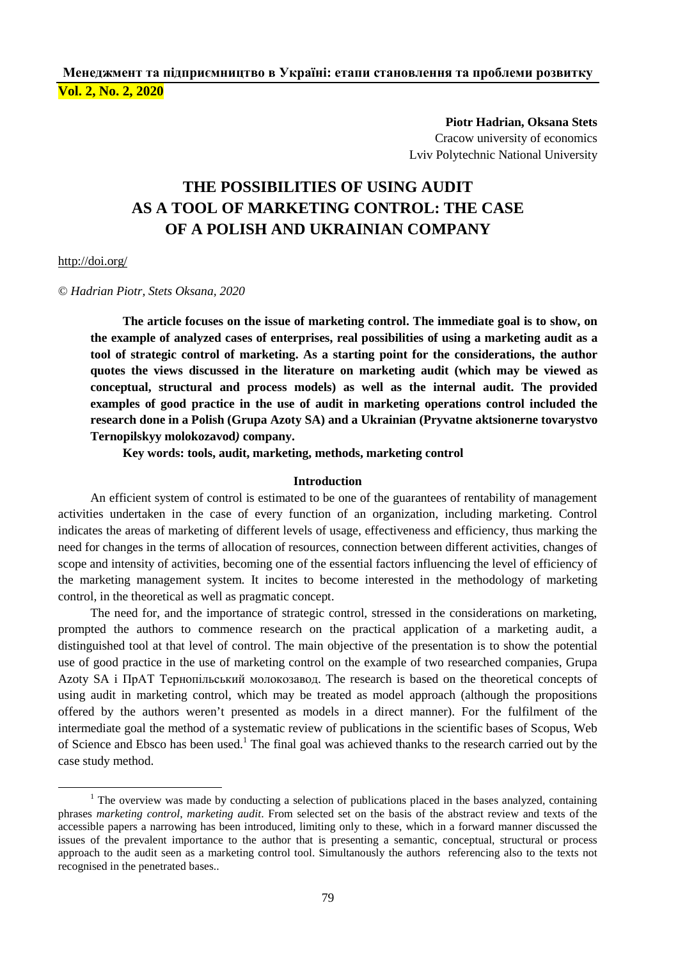## **Менеджмент та підприємництво в Україні: етапи становлення та проблеми розвитку Vol. 2, No. 2, 2020**

**Piotr Hadrian, Oksana Stets**  Cracow university of economics

Lviv Polytechnic National University

# **THE POSSIBILITIES OF USING AUDIT AS A TOOL OF MARKETING CONTROL: THE CASE OF A POLISH AND UKRAINIAN COMPANY**

#### <http://doi.org/>

 $\overline{a}$ 

© *Hadrian Piotr, Stets Oksana, 2020*

**The article focuses on the issue of marketing control. The immediate goal is to show, on the example of analyzed cases of enterprises, real possibilities of using a marketing audit as a tool of strategic control of marketing. As a starting point for the considerations, the author quotes the views discussed in the literature on marketing audit (which may be viewed as conceptual, structural and process models) as well as the internal audit. The provided examples of good practice in the use of audit in marketing operations control included the research done in a Polish (Grupa Azoty SA) and a Ukrainian (Pryvatne aktsionerne tovarystvo Ternopilskyy molokozavod***)* **company.** 

**Key words: tools, audit, marketing, methods, marketing control** 

#### **Introduction**

An efficient system of control is estimated to be one of the guarantees of rentability of management activities undertaken in the case of every function of an organization, including marketing. Control indicates the areas of marketing of different levels of usage, effectiveness and efficiency, thus marking the need for changes in the terms of allocation of resources, connection between different activities, changes of scope and intensity of activities, becoming one of the essential factors influencing the level of efficiency of the marketing management system. It incites to become interested in the methodology of marketing control, in the theoretical as well as pragmatic concept.

The need for, and the importance of strategic control, stressed in the considerations on marketing, prompted the authors to commence research on the practical application of a marketing audit, a distinguished tool at that level of control. The main objective of the presentation is to show the potential use of good practice in the use of marketing control on the example of two researched companies, Grupa Azoty SA i ПрАТ Тернопільський молокозавод. The research is based on the theoretical concepts of using audit in marketing control, which may be treated as model approach (although the propositions offered by the authors weren't presented as models in a direct manner). For the fulfilment of the intermediate goal the method of a systematic review of publications in the scientific bases of Scopus, Web of Science and Ebsco has been used.<sup>1</sup> The final goal was achieved thanks to the research carried out by the case study method.

<sup>&</sup>lt;sup>1</sup> The overview was made by conducting a selection of publications placed in the bases analyzed, containing phrases *marketing control*, *marketing audit*. From selected set on the basis of the abstract review and texts of the accessible papers a narrowing has been introduced, limiting only to these, which in a forward manner discussed the issues of the prevalent importance to the author that is presenting a semantic, conceptual, structural or process approach to the audit seen as a marketing control tool. Simultanously the authors referencing also to the texts not recognised in the penetrated bases..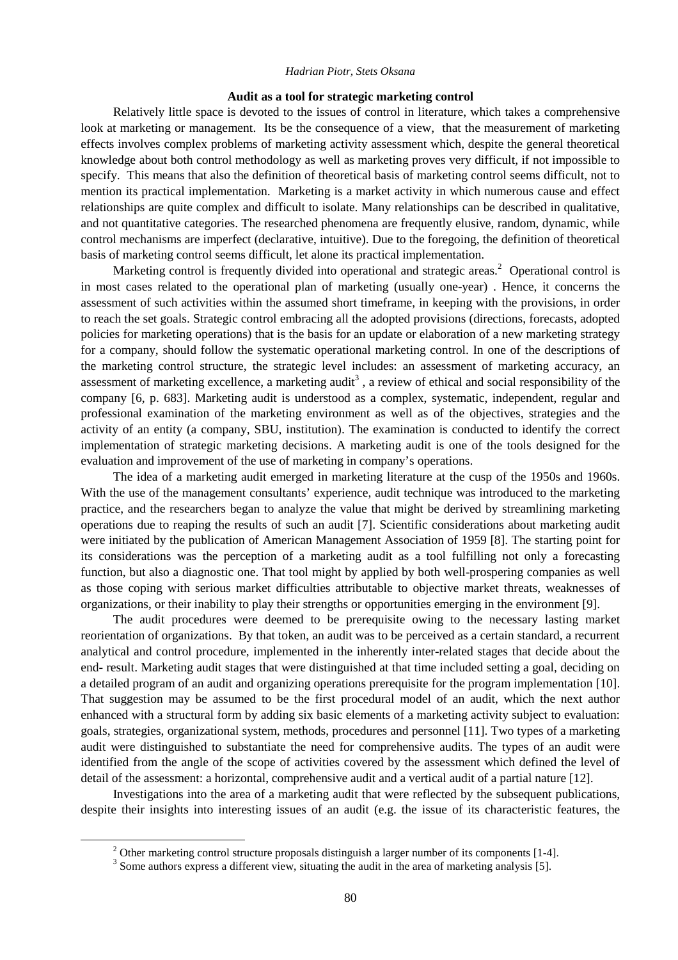#### **Audit as a tool for strategic marketing control**

Relatively little space is devoted to the issues of control in literature, which takes a comprehensive look at marketing or management. Its be the consequence of a view, that the measurement of marketing effects involves complex problems of marketing activity assessment which, despite the general theoretical knowledge about both control methodology as well as marketing proves very difficult, if not impossible to specify. This means that also the definition of theoretical basis of marketing control seems difficult, not to mention its practical implementation. Marketing is a market activity in which numerous cause and effect relationships are quite complex and difficult to isolate. Many relationships can be described in qualitative, and not quantitative categories. The researched phenomena are frequently elusive, random, dynamic, while control mechanisms are imperfect (declarative, intuitive). Due to the foregoing, the definition of theoretical basis of marketing control seems difficult, let alone its practical implementation.

Marketing control is frequently divided into operational and strategic areas.<sup>2</sup> Operational control is in most cases related to the operational plan of marketing (usually one-year) . Hence, it concerns the assessment of such activities within the assumed short timeframe, in keeping with the provisions, in order to reach the set goals. Strategic control embracing all the adopted provisions (directions, forecasts, adopted policies for marketing operations) that is the basis for an update or elaboration of a new marketing strategy for a company, should follow the systematic operational marketing control. In one of the descriptions of the marketing control structure, the strategic level includes: an assessment of marketing accuracy, an assessment of marketing excellence, a marketing audit<sup>3</sup>, a review of ethical and social responsibility of the company [6, p. 683]. Marketing audit is understood as a complex, systematic, independent, regular and professional examination of the marketing environment as well as of the objectives, strategies and the activity of an entity (a company, SBU, institution). The examination is conducted to identify the correct implementation of strategic marketing decisions. A marketing audit is one of the tools designed for the evaluation and improvement of the use of marketing in company's operations.

The idea of a marketing audit emerged in marketing literature at the cusp of the 1950s and 1960s. With the use of the management consultants' experience, audit technique was introduced to the marketing practice, and the researchers began to analyze the value that might be derived by streamlining marketing operations due to reaping the results of such an audit [7]. Scientific considerations about marketing audit were initiated by the publication of American Management Association of 1959 [8]. The starting point for its considerations was the perception of a marketing audit as a tool fulfilling not only a forecasting function, but also a diagnostic one. That tool might by applied by both well-prospering companies as well as those coping with serious market difficulties attributable to objective market threats, weaknesses of organizations, or their inability to play their strengths or opportunities emerging in the environment [9].

The audit procedures were deemed to be prerequisite owing to the necessary lasting market reorientation of organizations. By that token, an audit was to be perceived as a certain standard, a recurrent analytical and control procedure, implemented in the inherently inter-related stages that decide about the end- result. Marketing audit stages that were distinguished at that time included setting a goal, deciding on a detailed program of an audit and organizing operations prerequisite for the program implementation [10]. That suggestion may be assumed to be the first procedural model of an audit, which the next author enhanced with a structural form by adding six basic elements of a marketing activity subject to evaluation: goals, strategies, organizational system, methods, procedures and personnel [11]. Two types of a marketing audit were distinguished to substantiate the need for comprehensive audits. The types of an audit were identified from the angle of the scope of activities covered by the assessment which defined the level of detail of the assessment: a horizontal, comprehensive audit and a vertical audit of a partial nature [12].

Investigations into the area of a marketing audit that were reflected by the subsequent publications, despite their insights into interesting issues of an audit (e.g. the issue of its characteristic features, the

 $2$  Other marketing control structure proposals distinguish a larger number of its components [1-4].

<sup>&</sup>lt;sup>3</sup> Some authors express a different view, situating the audit in the area of marketing analysis [5].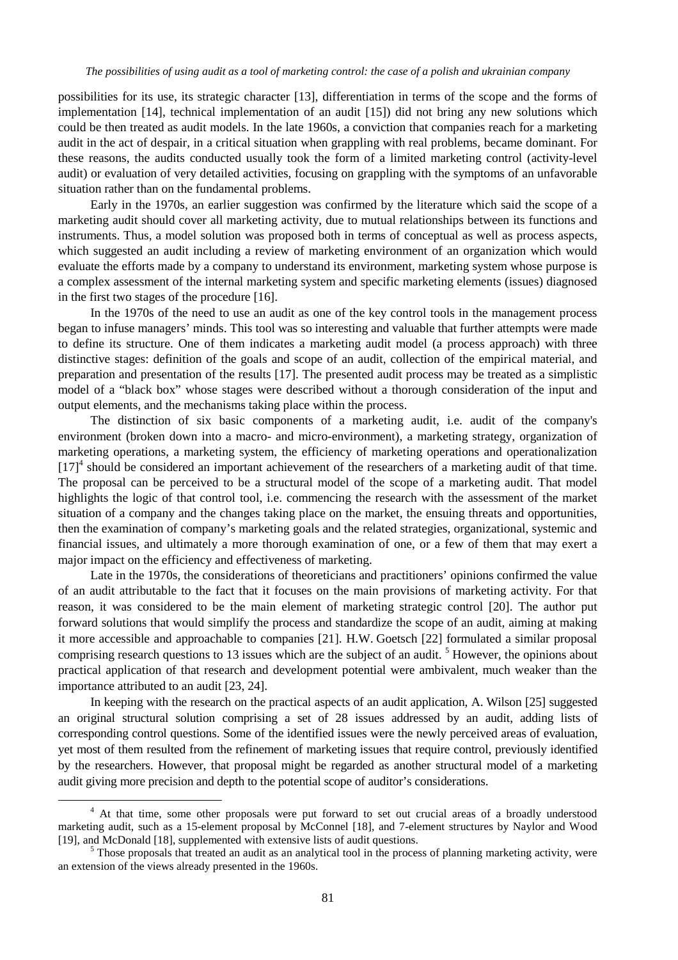possibilities for its use, its strategic character [13], differentiation in terms of the scope and the forms of implementation [14], technical implementation of an audit [15]) did not bring any new solutions which could be then treated as audit models. In the late 1960s, a conviction that companies reach for a marketing audit in the act of despair, in a critical situation when grappling with real problems, became dominant. For these reasons, the audits conducted usually took the form of a limited marketing control (activity-level audit) or evaluation of very detailed activities, focusing on grappling with the symptoms of an unfavorable situation rather than on the fundamental problems.

Early in the 1970s, an earlier suggestion was confirmed by the literature which said the scope of a marketing audit should cover all marketing activity, due to mutual relationships between its functions and instruments. Thus, a model solution was proposed both in terms of conceptual as well as process aspects, which suggested an audit including a review of marketing environment of an organization which would evaluate the efforts made by a company to understand its environment, marketing system whose purpose is a complex assessment of the internal marketing system and specific marketing elements (issues) diagnosed in the first two stages of the procedure [16].

In the 1970s of the need to use an audit as one of the key control tools in the management process began to infuse managers' minds. This tool was so interesting and valuable that further attempts were made to define its structure. One of them indicates a marketing audit model (a process approach) with three distinctive stages: definition of the goals and scope of an audit, collection of the empirical material, and preparation and presentation of the results [17]. The presented audit process may be treated as a simplistic model of a "black box" whose stages were described without a thorough consideration of the input and output elements, and the mechanisms taking place within the process.

The distinction of six basic components of a marketing audit, i.e. audit of the company's environment (broken down into a macro- and micro-environment), a marketing strategy, organization of marketing operations, a marketing system, the efficiency of marketing operations and operationalization  $[17]$ <sup>4</sup> should be considered an important achievement of the researchers of a marketing audit of that time. The proposal can be perceived to be a structural model of the scope of a marketing audit. That model highlights the logic of that control tool, i.e. commencing the research with the assessment of the market situation of a company and the changes taking place on the market, the ensuing threats and opportunities, then the examination of company's marketing goals and the related strategies, organizational, systemic and financial issues, and ultimately a more thorough examination of one, or a few of them that may exert a major impact on the efficiency and effectiveness of marketing.

Late in the 1970s, the considerations of theoreticians and practitioners' opinions confirmed the value of an audit attributable to the fact that it focuses on the main provisions of marketing activity. For that reason, it was considered to be the main element of marketing strategic control [20]. The author put forward solutions that would simplify the process and standardize the scope of an audit, aiming at making it more accessible and approachable to companies [21]. H.W. Goetsch [22] formulated a similar proposal comprising research questions to 13 issues which are the subject of an audit.<sup>5</sup> However, the opinions about practical application of that research and development potential were ambivalent, much weaker than the importance attributed to an audit [23, 24].

In keeping with the research on the practical aspects of an audit application, A. Wilson [25] suggested an original structural solution comprising a set of 28 issues addressed by an audit, adding lists of corresponding control questions. Some of the identified issues were the newly perceived areas of evaluation, yet most of them resulted from the refinement of marketing issues that require control, previously identified by the researchers. However, that proposal might be regarded as another structural model of a marketing audit giving more precision and depth to the potential scope of auditor's considerations.

<sup>&</sup>lt;sup>4</sup> At that time, some other proposals were put forward to set out crucial areas of a broadly understood marketing audit, such as a 15-element proposal by McConnel [18], and 7-element structures by Naylor and Wood [19], and McDonald [18], supplemented with extensive lists of audit questions.

 $<sup>5</sup>$  Those proposals that treated an audit as an analytical tool in the process of planning marketing activity, were</sup> an extension of the views already presented in the 1960s.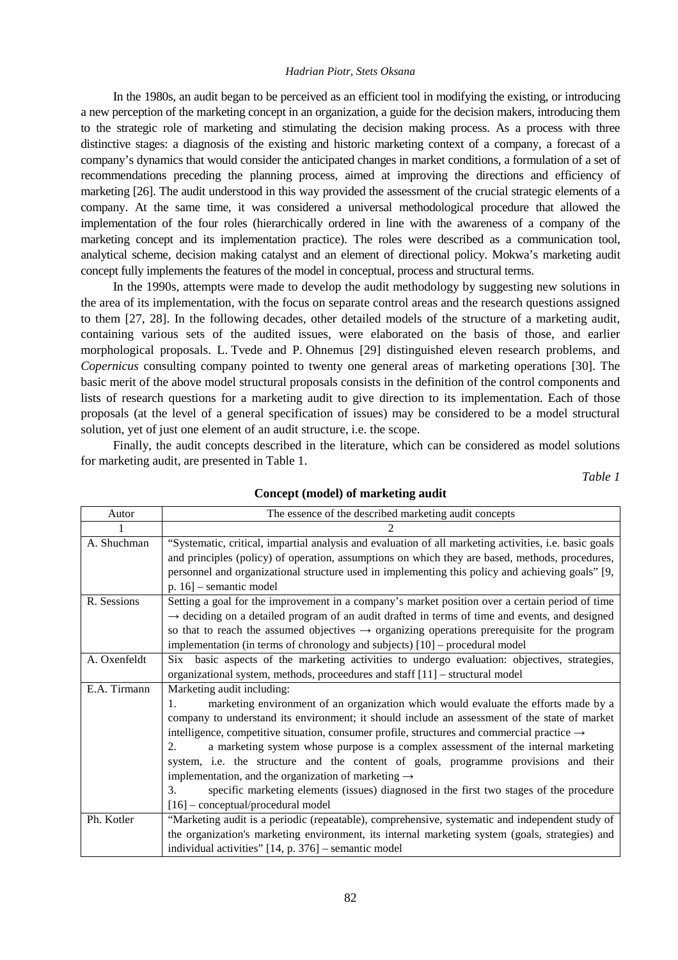In the 1980s, an audit began to be perceived as an efficient tool in modifying the existing, or introducing a new perception of the marketing concept in an organization, a guide for the decision makers, introducing them to the strategic role of marketing and stimulating the decision making process. As a process with three distinctive stages: a diagnosis of the existing and historic marketing context of a company, a forecast of a company's dynamics that would consider the anticipated changes in market conditions, a formulation of a set of recommendations preceding the planning process, aimed at improving the directions and efficiency of marketing [26]. The audit understood in this way provided the assessment of the crucial strategic elements of a company. At the same time, it was considered a universal methodological procedure that allowed the implementation of the four roles (hierarchically ordered in line with the awareness of a company of the marketing concept and its implementation practice). The roles were described as a communication tool, analytical scheme, decision making catalyst and an element of directional policy. Mokwa's marketing audit concept fully implements the features of the model in conceptual, process and structural terms.

In the 1990s, attempts were made to develop the audit methodology by suggesting new solutions in the area of its implementation, with the focus on separate control areas and the research questions assigned to them [27, 28]. In the following decades, other detailed models of the structure of a marketing audit, containing various sets of the audited issues, were elaborated on the basis of those, and earlier morphological proposals. L. Tvede and P. Ohnemus [29] distinguished eleven research problems, and *Copernicus* consulting company pointed to twenty one general areas of marketing operations [30]. The basic merit of the above model structural proposals consists in the definition of the control components and lists of research questions for a marketing audit to give direction to its implementation. Each of those proposals (at the level of a general specification of issues) may be considered to be a model structural solution, yet of just one element of an audit structure, i.e. the scope.

Finally, the audit concepts described in the literature, which can be considered as model solutions for marketing audit, are presented in Table 1.

*Table 1* 

| Autor        | The essence of the described marketing audit concepts                                                      |
|--------------|------------------------------------------------------------------------------------------------------------|
|              |                                                                                                            |
| A. Shuchman  | "Systematic, critical, impartial analysis and evaluation of all marketing activities, i.e. basic goals     |
|              | and principles (policy) of operation, assumptions on which they are based, methods, procedures,            |
|              | personnel and organizational structure used in implementing this policy and achieving goals" [9,           |
|              | $p. 16$ ] – semantic model                                                                                 |
| R. Sessions  | Setting a goal for the improvement in a company's market position over a certain period of time            |
|              | $\rightarrow$ deciding on a detailed program of an audit drafted in terms of time and events, and designed |
|              | so that to reach the assumed objectives $\rightarrow$ organizing operations prerequisite for the program   |
|              | implementation (in terms of chronology and subjects) [10] – procedural model                               |
| A. Oxenfeldt | Six basic aspects of the marketing activities to undergo evaluation: objectives, strategies,               |
|              | organizational system, methods, proceedures and staff [11] - structural model                              |
| E.A. Tirmann | Marketing audit including:                                                                                 |
|              | marketing environment of an organization which would evaluate the efforts made by a<br>$\mathbf{1}$ .      |
|              | company to understand its environment; it should include an assessment of the state of market              |
|              | intelligence, competitive situation, consumer profile, structures and commercial practice $\rightarrow$    |
|              | a marketing system whose purpose is a complex assessment of the internal marketing<br>2.                   |
|              | system, i.e. the structure and the content of goals, programme provisions and their                        |
|              | implementation, and the organization of marketing $\rightarrow$                                            |
|              | specific marketing elements (issues) diagnosed in the first two stages of the procedure<br>3.              |
|              | $[16]$ – conceptual/procedural model                                                                       |
| Ph. Kotler   | "Marketing audit is a periodic (repeatable), comprehensive, systematic and independent study of            |
|              | the organization's marketing environment, its internal marketing system (goals, strategies) and            |
|              | individual activities" [14, p. 376] - semantic model                                                       |

#### **Concept (model) of marketing audit**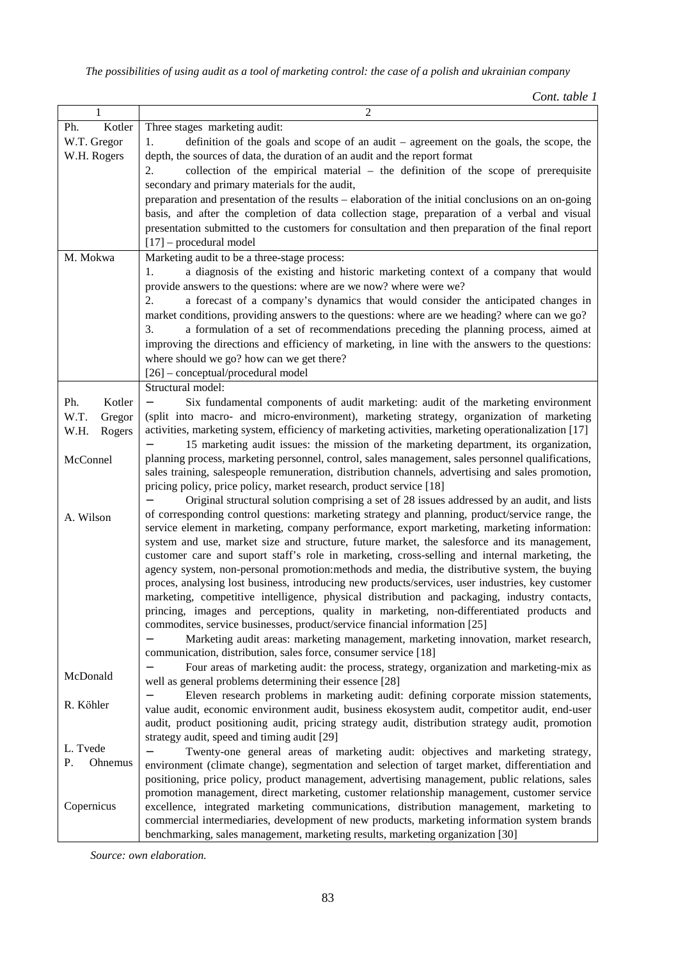*Cont. table 1* 

| 1              | 2                                                                                                                                                                                              |
|----------------|------------------------------------------------------------------------------------------------------------------------------------------------------------------------------------------------|
| Kotler<br>Ph.  | Three stages marketing audit:                                                                                                                                                                  |
| W.T. Gregor    | definition of the goals and scope of an audit - agreement on the goals, the scope, the<br>1.                                                                                                   |
| W.H. Rogers    | depth, the sources of data, the duration of an audit and the report format                                                                                                                     |
|                | collection of the empirical material $-$ the definition of the scope of prerequisite<br>2.                                                                                                     |
|                | secondary and primary materials for the audit,                                                                                                                                                 |
|                | preparation and presentation of the results – elaboration of the initial conclusions on an on-going                                                                                            |
|                | basis, and after the completion of data collection stage, preparation of a verbal and visual                                                                                                   |
|                | presentation submitted to the customers for consultation and then preparation of the final report                                                                                              |
|                | $[17]$ – procedural model                                                                                                                                                                      |
| M. Mokwa       | Marketing audit to be a three-stage process:                                                                                                                                                   |
|                | a diagnosis of the existing and historic marketing context of a company that would<br>1.                                                                                                       |
|                | provide answers to the questions: where are we now? where were we?                                                                                                                             |
|                | a forecast of a company's dynamics that would consider the anticipated changes in<br>2.                                                                                                        |
|                |                                                                                                                                                                                                |
|                | market conditions, providing answers to the questions: where are we heading? where can we go?                                                                                                  |
|                | a formulation of a set of recommendations preceding the planning process, aimed at<br>3.                                                                                                       |
|                | improving the directions and efficiency of marketing, in line with the answers to the questions:                                                                                               |
|                | where should we go? how can we get there?                                                                                                                                                      |
|                | [26] - conceptual/procedural model                                                                                                                                                             |
|                | Structural model:                                                                                                                                                                              |
| Ph.<br>Kotler  | Six fundamental components of audit marketing: audit of the marketing environment                                                                                                              |
| W.T.<br>Gregor | (split into macro- and micro-environment), marketing strategy, organization of marketing                                                                                                       |
| W.H.<br>Rogers | activities, marketing system, efficiency of marketing activities, marketing operationalization [17]                                                                                            |
|                | 15 marketing audit issues: the mission of the marketing department, its organization,                                                                                                          |
| McConnel       | planning process, marketing personnel, control, sales management, sales personnel qualifications,                                                                                              |
|                | sales training, salespeople remuneration, distribution channels, advertising and sales promotion,                                                                                              |
|                | pricing policy, price policy, market research, product service [18]                                                                                                                            |
|                | Original structural solution comprising a set of 28 issues addressed by an audit, and lists<br>of corresponding control questions: marketing strategy and planning, product/service range, the |
| A. Wilson      | service element in marketing, company performance, export marketing, marketing information:                                                                                                    |
|                | system and use, market size and structure, future market, the salesforce and its management,                                                                                                   |
|                | customer care and suport staff's role in marketing, cross-selling and internal marketing, the                                                                                                  |
|                | agency system, non-personal promotion: methods and media, the distributive system, the buying                                                                                                  |
|                | proces, analysing lost business, introducing new products/services, user industries, key customer                                                                                              |
|                | marketing, competitive intelligence, physical distribution and packaging, industry contacts,                                                                                                   |
|                | princing, images and perceptions, quality in marketing, non-differentiated products and                                                                                                        |
|                | commodites, service businesses, product/service financial information [25]                                                                                                                     |
|                | Marketing audit areas: marketing management, marketing innovation, market research,                                                                                                            |
|                | communication, distribution, sales force, consumer service [18]                                                                                                                                |
|                | Four areas of marketing audit: the process, strategy, organization and marketing-mix as                                                                                                        |
| McDonald       | well as general problems determining their essence [28]                                                                                                                                        |
|                | Eleven research problems in marketing audit: defining corporate mission statements,                                                                                                            |
| R. Köhler      | value audit, economic environment audit, business ekosystem audit, competitor audit, end-user                                                                                                  |
|                | audit, product positioning audit, pricing strategy audit, distribution strategy audit, promotion                                                                                               |
|                | strategy audit, speed and timing audit [29]                                                                                                                                                    |
| L. Tvede       | Twenty-one general areas of marketing audit: objectives and marketing strategy,                                                                                                                |
| Ρ.<br>Ohnemus  | environment (climate change), segmentation and selection of target market, differentiation and                                                                                                 |
|                | positioning, price policy, product management, advertising management, public relations, sales                                                                                                 |
|                | promotion management, direct marketing, customer relationship management, customer service                                                                                                     |
| Copernicus     | excellence, integrated marketing communications, distribution management, marketing to                                                                                                         |
|                | commercial intermediaries, development of new products, marketing information system brands                                                                                                    |
|                | benchmarking, sales management, marketing results, marketing organization [30]                                                                                                                 |

*Source: own elaboration.*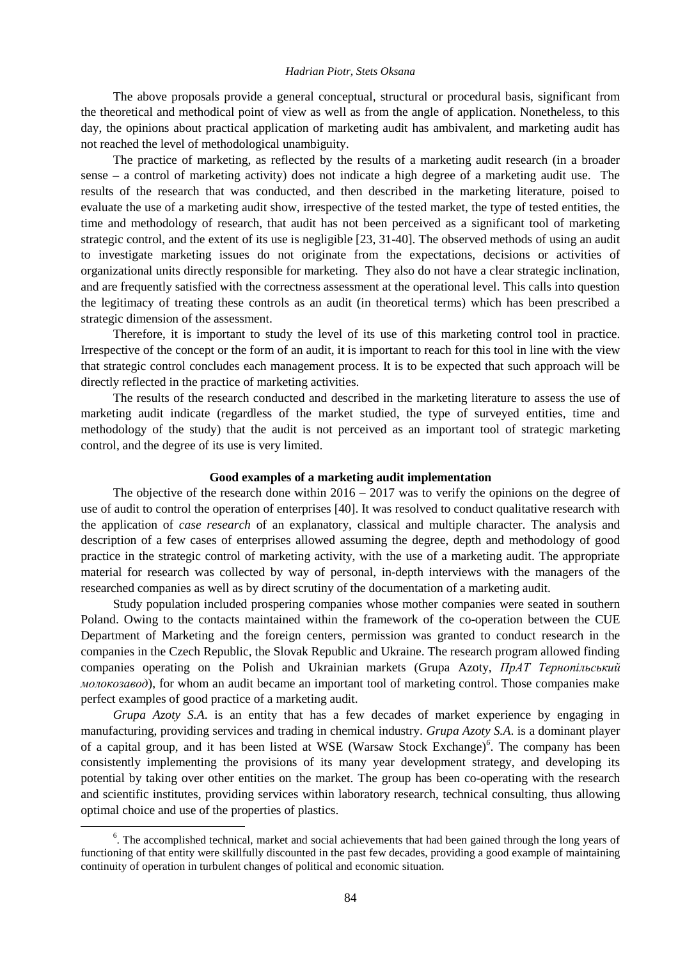The above proposals provide a general conceptual, structural or procedural basis, significant from the theoretical and methodical point of view as well as from the angle of application. Nonetheless, to this day, the opinions about practical application of marketing audit has ambivalent, and marketing audit has not reached the level of methodological unambiguity.

The practice of marketing, as reflected by the results of a marketing audit research (in a broader sense – a control of marketing activity) does not indicate a high degree of a marketing audit use. The results of the research that was conducted, and then described in the marketing literature, poised to evaluate the use of a marketing audit show, irrespective of the tested market, the type of tested entities, the time and methodology of research, that audit has not been perceived as a significant tool of marketing strategic control, and the extent of its use is negligible [23, 31-40]. The observed methods of using an audit to investigate marketing issues do not originate from the expectations, decisions or activities of organizational units directly responsible for marketing. They also do not have a clear strategic inclination, and are frequently satisfied with the correctness assessment at the operational level. This calls into question the legitimacy of treating these controls as an audit (in theoretical terms) which has been prescribed a strategic dimension of the assessment.

Therefore, it is important to study the level of its use of this marketing control tool in practice. Irrespective of the concept or the form of an audit, it is important to reach for this tool in line with the view that strategic control concludes each management process. It is to be expected that such approach will be directly reflected in the practice of marketing activities.

The results of the research conducted and described in the marketing literature to assess the use of marketing audit indicate (regardless of the market studied, the type of surveyed entities, time and methodology of the study) that the audit is not perceived as an important tool of strategic marketing control, and the degree of its use is very limited.

#### **Good examples of a marketing audit implementation**

The objective of the research done within  $2016 - 2017$  was to verify the opinions on the degree of use of audit to control the operation of enterprises [40]. It was resolved to conduct qualitative research with the application of *case research* of an explanatory, classical and multiple character. The analysis and description of a few cases of enterprises allowed assuming the degree, depth and methodology of good practice in the strategic control of marketing activity, with the use of a marketing audit. The appropriate material for research was collected by way of personal, in-depth interviews with the managers of the researched companies as well as by direct scrutiny of the documentation of a marketing audit.

Study population included prospering companies whose mother companies were seated in southern Poland. Owing to the contacts maintained within the framework of the co-operation between the CUE Department of Marketing and the foreign centers, permission was granted to conduct research in the companies in the Czech Republic, the Slovak Republic and Ukraine. The research program allowed finding companies operating on the Polish and Ukrainian markets (Grupa Azoty, *ПрАТ Тернопільський молокозавод*), for whom an audit became an important tool of marketing control. Those companies make perfect examples of good practice of a marketing audit.

*Grupa Azoty S.A*. is an entity that has a few decades of market experience by engaging in manufacturing, providing services and trading in chemical industry. *Grupa Azoty S.A*. is a dominant player of a capital group, and it has been listed at WSE (Warsaw Stock Exchange)*<sup>6</sup>* . The company has been consistently implementing the provisions of its many year development strategy, and developing its potential by taking over other entities on the market. The group has been co-operating with the research and scientific institutes, providing services within laboratory research, technical consulting, thus allowing optimal choice and use of the properties of plastics.

<sup>&</sup>lt;sup>6</sup>. The accomplished technical, market and social achievements that had been gained through the long years of functioning of that entity were skillfully discounted in the past few decades, providing a good example of maintaining continuity of operation in turbulent changes of political and economic situation.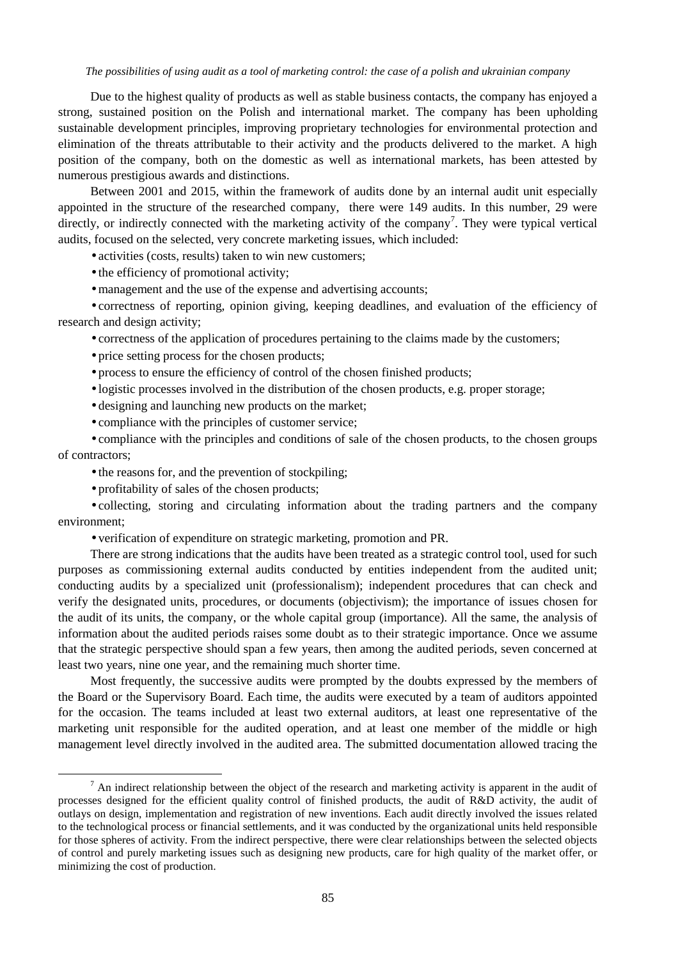#### The possibilities of using audit as a tool of marketing control: the case of a polish and ukrainian company

Due to the highest quality of products as well as stable business contacts, the company has enjoyed a strong, sustained position on the Polish and international market. The company has been upholding sustainable development principles, improving proprietary technologies for environmental protection and elimination of the threats attributable to their activity and the products delivered to the market. A high position of the company, both on the domestic as well as international markets, has been attested by numerous prestigious awards and distinctions.

Between 2001 and 2015, within the framework of audits done by an internal audit unit especially appointed in the structure of the researched company, there were 149 audits. In this number, 29 were directly, or indirectly connected with the marketing activity of the company<sup>7</sup>. They were typical vertical audits, focused on the selected, very concrete marketing issues, which included:

activities (costs, results) taken to win new customers;

 $\cdot$  the efficiency of promotional activity;

management and the use of the expense and advertising accounts;

correctness of reporting, opinion giving, keeping deadlines, and evaluation of the efficiency of research and design activity;

correctness of the application of procedures pertaining to the claims made by the customers;

price setting process for the chosen products;

process to ensure the efficiency of control of the chosen finished products;

In logistic processes involved in the distribution of the chosen products, e.g. proper storage;

designing and launching new products on the market;

compliance with the principles of customer service;

compliance with the principles and conditions of sale of the chosen products, to the chosen groups of contractors;

the reasons for, and the prevention of stockpiling;

profitability of sales of the chosen products;

 $\overline{a}$ 

collecting, storing and circulating information about the trading partners and the company environment;

verification of expenditure on strategic marketing, promotion and PR.

There are strong indications that the audits have been treated as a strategic control tool, used for such purposes as commissioning external audits conducted by entities independent from the audited unit; conducting audits by a specialized unit (professionalism); independent procedures that can check and verify the designated units, procedures, or documents (objectivism); the importance of issues chosen for the audit of its units, the company, or the whole capital group (importance). All the same, the analysis of information about the audited periods raises some doubt as to their strategic importance. Once we assume that the strategic perspective should span a few years, then among the audited periods, seven concerned at least two years, nine one year, and the remaining much shorter time.

Most frequently, the successive audits were prompted by the doubts expressed by the members of the Board or the Supervisory Board. Each time, the audits were executed by a team of auditors appointed for the occasion. The teams included at least two external auditors, at least one representative of the marketing unit responsible for the audited operation, and at least one member of the middle or high management level directly involved in the audited area. The submitted documentation allowed tracing the

 $<sup>7</sup>$  An indirect relationship between the object of the research and marketing activity is apparent in the audit of</sup> processes designed for the efficient quality control of finished products, the audit of R&D activity, the audit of outlays on design, implementation and registration of new inventions. Each audit directly involved the issues related to the technological process or financial settlements, and it was conducted by the organizational units held responsible for those spheres of activity. From the indirect perspective, there were clear relationships between the selected objects of control and purely marketing issues such as designing new products, care for high quality of the market offer, or minimizing the cost of production.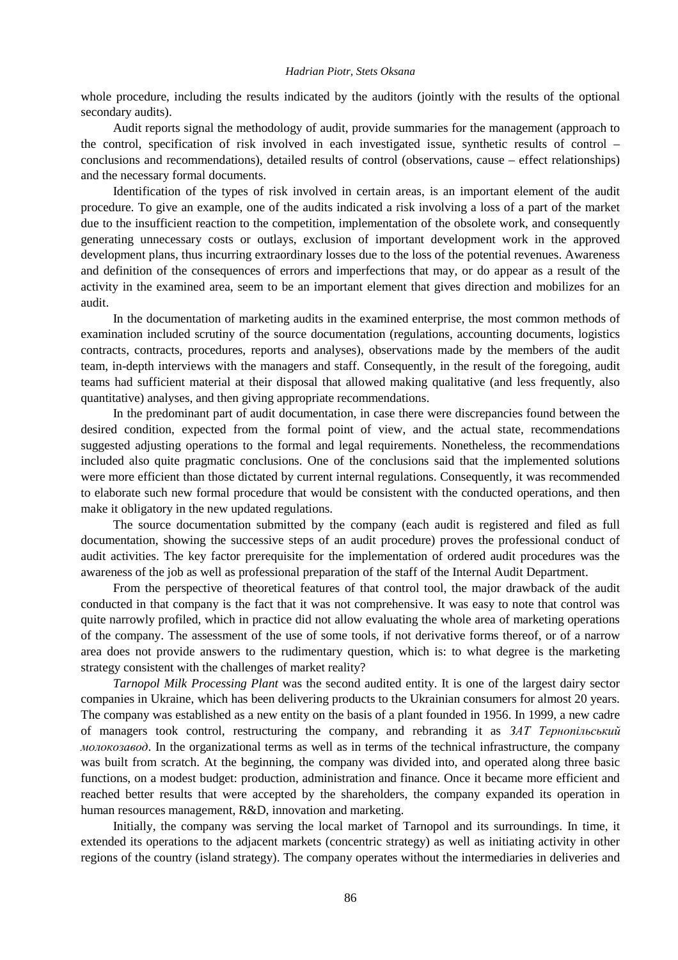whole procedure, including the results indicated by the auditors (jointly with the results of the optional secondary audits).

Audit reports signal the methodology of audit, provide summaries for the management (approach to the control, specification of risk involved in each investigated issue, synthetic results of control – conclusions and recommendations), detailed results of control (observations, cause – effect relationships) and the necessary formal documents.

Identification of the types of risk involved in certain areas, is an important element of the audit procedure. To give an example, one of the audits indicated a risk involving a loss of a part of the market due to the insufficient reaction to the competition, implementation of the obsolete work, and consequently generating unnecessary costs or outlays, exclusion of important development work in the approved development plans, thus incurring extraordinary losses due to the loss of the potential revenues. Awareness and definition of the consequences of errors and imperfections that may, or do appear as a result of the activity in the examined area, seem to be an important element that gives direction and mobilizes for an audit.

In the documentation of marketing audits in the examined enterprise, the most common methods of examination included scrutiny of the source documentation (regulations, accounting documents, logistics contracts, contracts, procedures, reports and analyses), observations made by the members of the audit team, in-depth interviews with the managers and staff. Consequently, in the result of the foregoing, audit teams had sufficient material at their disposal that allowed making qualitative (and less frequently, also quantitative) analyses, and then giving appropriate recommendations.

In the predominant part of audit documentation, in case there were discrepancies found between the desired condition, expected from the formal point of view, and the actual state, recommendations suggested adjusting operations to the formal and legal requirements. Nonetheless, the recommendations included also quite pragmatic conclusions. One of the conclusions said that the implemented solutions were more efficient than those dictated by current internal regulations. Consequently, it was recommended to elaborate such new formal procedure that would be consistent with the conducted operations, and then make it obligatory in the new updated regulations.

The source documentation submitted by the company (each audit is registered and filed as full documentation, showing the successive steps of an audit procedure) proves the professional conduct of audit activities. The key factor prerequisite for the implementation of ordered audit procedures was the awareness of the job as well as professional preparation of the staff of the Internal Audit Department.

From the perspective of theoretical features of that control tool, the major drawback of the audit conducted in that company is the fact that it was not comprehensive. It was easy to note that control was quite narrowly profiled, which in practice did not allow evaluating the whole area of marketing operations of the company. The assessment of the use of some tools, if not derivative forms thereof, or of a narrow area does not provide answers to the rudimentary question, which is: to what degree is the marketing strategy consistent with the challenges of market reality?

*Tarnopol Milk Processing Plant* was the second audited entity. It is one of the largest dairy sector companies in Ukraine, which has been delivering products to the Ukrainian consumers for almost 20 years. The company was established as a new entity on the basis of a plant founded in 1956. In 1999, a new cadre of managers took control, restructuring the company, and rebranding it as *ЗАТ Тернопільський молокозавод*. In the organizational terms as well as in terms of the technical infrastructure, the company was built from scratch. At the beginning, the company was divided into, and operated along three basic functions, on a modest budget: production, administration and finance. Once it became more efficient and reached better results that were accepted by the shareholders, the company expanded its operation in human resources management, R&D, innovation and marketing.

Initially, the company was serving the local market of Tarnopol and its surroundings. In time, it extended its operations to the adjacent markets (concentric strategy) as well as initiating activity in other regions of the country (island strategy). The company operates without the intermediaries in deliveries and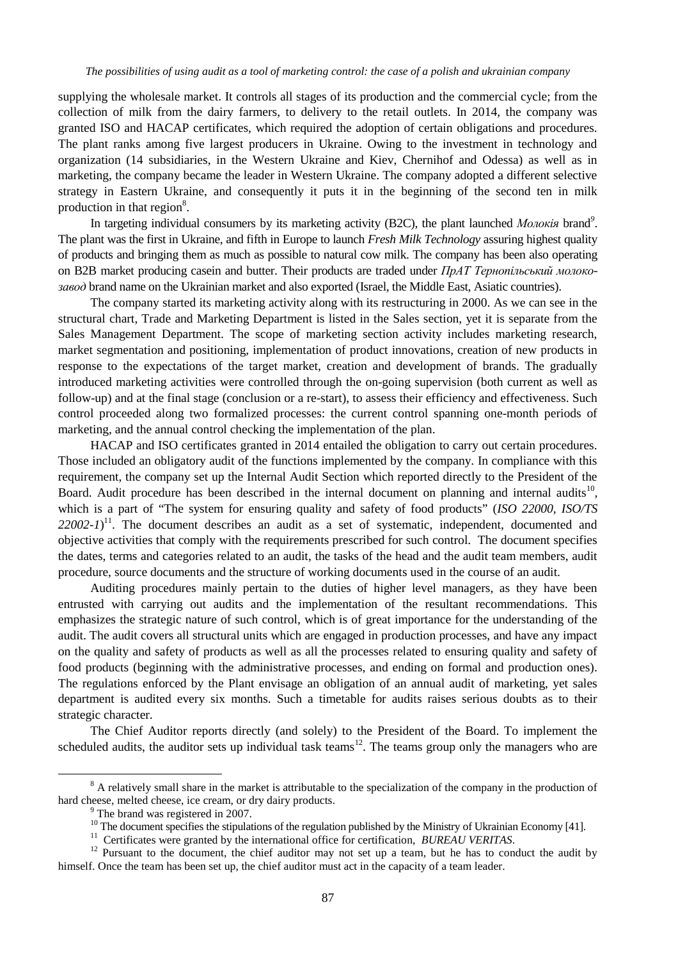supplying the wholesale market. It controls all stages of its production and the commercial cycle; from the collection of milk from the dairy farmers, to delivery to the retail outlets. In 2014, the company was granted ISO and HACAP certificates, which required the adoption of certain obligations and procedures. The plant ranks among five largest producers in Ukraine. Owing to the investment in technology and organization (14 subsidiaries, in the Western Ukraine and Kiev, Chernihof and Odessa) as well as in marketing, the company became the leader in Western Ukraine. The company adopted a different selective strategy in Eastern Ukraine, and consequently it puts it in the beginning of the second ten in milk production in that region $8$ .

In targeting individual consumers by its marketing activity (B2C), the plant launched *Молокія* brand*<sup>9</sup>* . The plant was the first in Ukraine, and fifth in Europe to launch *Fresh Milk Technology* assuring highest quality of products and bringing them as much as possible to natural cow milk. The company has been also operating on B2B market producing casein and butter. Their products are traded under *ПрАТ Тернопільський молокозавод* brand name on the Ukrainian market and also exported (Israel, the Middle East, Asiatic countries).

The company started its marketing activity along with its restructuring in 2000. As we can see in the structural chart, Trade and Marketing Department is listed in the Sales section, yet it is separate from the Sales Management Department. The scope of marketing section activity includes marketing research, market segmentation and positioning, implementation of product innovations, creation of new products in response to the expectations of the target market, creation and development of brands. The gradually introduced marketing activities were controlled through the on-going supervision (both current as well as follow-up) and at the final stage (conclusion or a re-start), to assess their efficiency and effectiveness. Such control proceeded along two formalized processes: the current control spanning one-month periods of marketing, and the annual control checking the implementation of the plan.

HACAP and ISO certificates granted in 2014 entailed the obligation to carry out certain procedures. Those included an obligatory audit of the functions implemented by the company. In compliance with this requirement, the company set up the Internal Audit Section which reported directly to the President of the Board. Audit procedure has been described in the internal document on planning and internal audits<sup>10</sup>, which is a part of "The system for ensuring quality and safety of food products" (*ISO 22000*, *ISO/TS*   $22002 - 1$ <sup>11</sup>. The document describes an audit as a set of systematic, independent, documented and objective activities that comply with the requirements prescribed for such control. The document specifies the dates, terms and categories related to an audit, the tasks of the head and the audit team members, audit procedure, source documents and the structure of working documents used in the course of an audit.

Auditing procedures mainly pertain to the duties of higher level managers, as they have been entrusted with carrying out audits and the implementation of the resultant recommendations. This emphasizes the strategic nature of such control, which is of great importance for the understanding of the audit. The audit covers all structural units which are engaged in production processes, and have any impact on the quality and safety of products as well as all the processes related to ensuring quality and safety of food products (beginning with the administrative processes, and ending on formal and production ones). The regulations enforced by the Plant envisage an obligation of an annual audit of marketing, yet sales department is audited every six months. Such a timetable for audits raises serious doubts as to their strategic character.

The Chief Auditor reports directly (and solely) to the President of the Board. To implement the scheduled audits, the auditor sets up individual task teams<sup>12</sup>. The teams group only the managers who are

<sup>&</sup>lt;sup>8</sup> A relatively small share in the market is attributable to the specialization of the company in the production of hard cheese, melted cheese, ice cream, or dry dairy products.

The brand was registered in 2007.

 $10$  The document specifies the stipulations of the regulation published by the Ministry of Ukrainian Economy [41].

<sup>&</sup>lt;sup>11</sup> Certificates were granted by the international office for certification, *BUREAU VERITAS*.

<sup>&</sup>lt;sup>12</sup> Pursuant to the document, the chief auditor may not set up a team, but he has to conduct the audit by himself. Once the team has been set up, the chief auditor must act in the capacity of a team leader.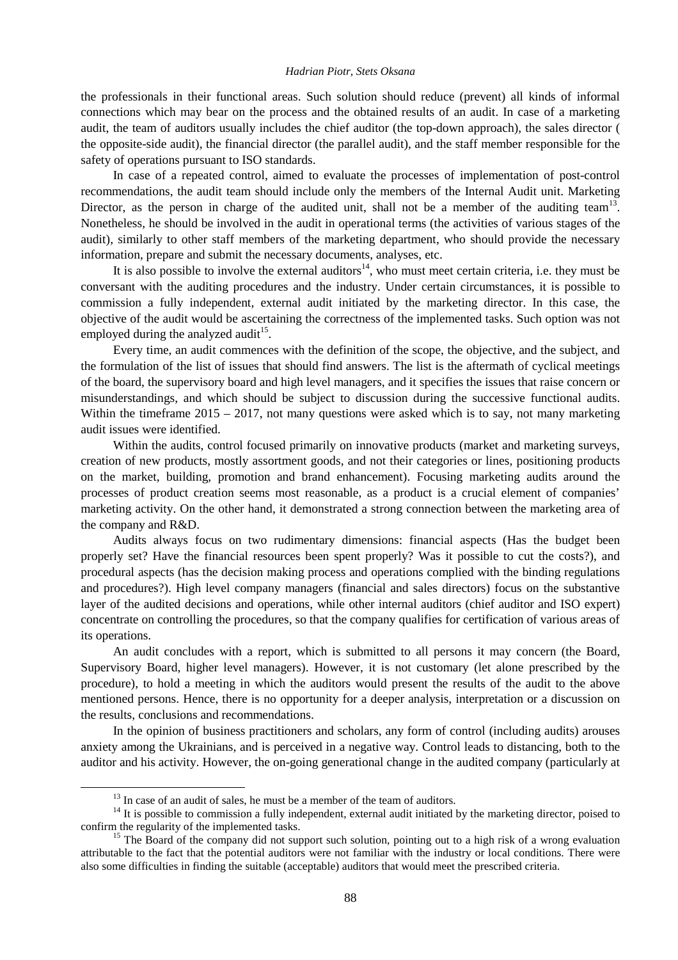the professionals in their functional areas. Such solution should reduce (prevent) all kinds of informal connections which may bear on the process and the obtained results of an audit. In case of a marketing audit, the team of auditors usually includes the chief auditor (the top-down approach), the sales director ( the opposite-side audit), the financial director (the parallel audit), and the staff member responsible for the safety of operations pursuant to ISO standards.

In case of a repeated control, aimed to evaluate the processes of implementation of post-control recommendations, the audit team should include only the members of the Internal Audit unit. Marketing Director, as the person in charge of the audited unit, shall not be a member of the auditing team<sup>13</sup>. Nonetheless, he should be involved in the audit in operational terms (the activities of various stages of the audit), similarly to other staff members of the marketing department, who should provide the necessary information, prepare and submit the necessary documents, analyses, etc.

It is also possible to involve the external auditors<sup>14</sup>, who must meet certain criteria, i.e. they must be conversant with the auditing procedures and the industry. Under certain circumstances, it is possible to commission a fully independent, external audit initiated by the marketing director. In this case, the objective of the audit would be ascertaining the correctness of the implemented tasks. Such option was not employed during the analyzed audit<sup>15</sup>.

Every time, an audit commences with the definition of the scope, the objective, and the subject, and the formulation of the list of issues that should find answers. The list is the aftermath of cyclical meetings of the board, the supervisory board and high level managers, and it specifies the issues that raise concern or misunderstandings, and which should be subject to discussion during the successive functional audits. Within the timeframe  $2015 - 2017$ , not many questions were asked which is to say, not many marketing audit issues were identified.

Within the audits, control focused primarily on innovative products (market and marketing surveys, creation of new products, mostly assortment goods, and not their categories or lines, positioning products on the market, building, promotion and brand enhancement). Focusing marketing audits around the processes of product creation seems most reasonable, as a product is a crucial element of companies' marketing activity. On the other hand, it demonstrated a strong connection between the marketing area of the company and R&D.

Audits always focus on two rudimentary dimensions: financial aspects (Has the budget been properly set? Have the financial resources been spent properly? Was it possible to cut the costs?), and procedural aspects (has the decision making process and operations complied with the binding regulations and procedures?). High level company managers (financial and sales directors) focus on the substantive layer of the audited decisions and operations, while other internal auditors (chief auditor and ISO expert) concentrate on controlling the procedures, so that the company qualifies for certification of various areas of its operations.

An audit concludes with a report, which is submitted to all persons it may concern (the Board, Supervisory Board, higher level managers). However, it is not customary (let alone prescribed by the procedure), to hold a meeting in which the auditors would present the results of the audit to the above mentioned persons. Hence, there is no opportunity for a deeper analysis, interpretation or a discussion on the results, conclusions and recommendations.

In the opinion of business practitioners and scholars, any form of control (including audits) arouses anxiety among the Ukrainians, and is perceived in a negative way. Control leads to distancing, both to the auditor and his activity. However, the on-going generational change in the audited company (particularly at

 $13$  In case of an audit of sales, he must be a member of the team of auditors.

 $14$  It is possible to commission a fully independent, external audit initiated by the marketing director, poised to confirm the regularity of the implemented tasks.

<sup>&</sup>lt;sup>15</sup> The Board of the company did not support such solution, pointing out to a high risk of a wrong evaluation attributable to the fact that the potential auditors were not familiar with the industry or local conditions. There were also some difficulties in finding the suitable (acceptable) auditors that would meet the prescribed criteria.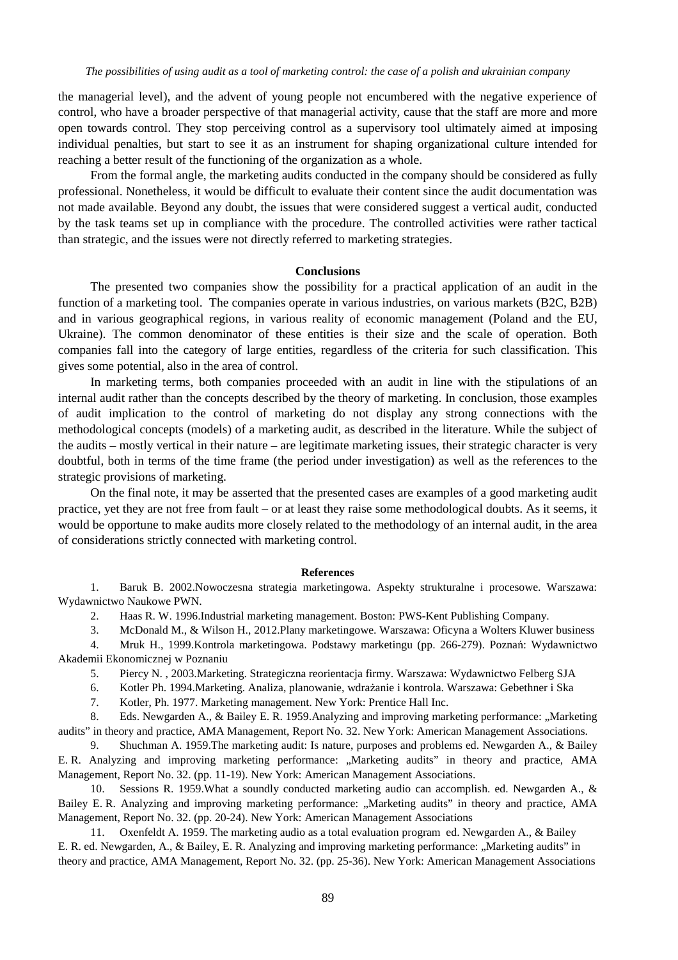the managerial level), and the advent of young people not encumbered with the negative experience of control, who have a broader perspective of that managerial activity, cause that the staff are more and more open towards control. They stop perceiving control as a supervisory tool ultimately aimed at imposing individual penalties, but start to see it as an instrument for shaping organizational culture intended for reaching a better result of the functioning of the organization as a whole.

From the formal angle, the marketing audits conducted in the company should be considered as fully professional. Nonetheless, it would be difficult to evaluate their content since the audit documentation was not made available. Beyond any doubt, the issues that were considered suggest a vertical audit, conducted by the task teams set up in compliance with the procedure. The controlled activities were rather tactical than strategic, and the issues were not directly referred to marketing strategies.

#### **Conclusions**

The presented two companies show the possibility for a practical application of an audit in the function of a marketing tool. The companies operate in various industries, on various markets (B2C, B2B) and in various geographical regions, in various reality of economic management (Poland and the EU, Ukraine). The common denominator of these entities is their size and the scale of operation. Both companies fall into the category of large entities, regardless of the criteria for such classification. This gives some potential, also in the area of control.

In marketing terms, both companies proceeded with an audit in line with the stipulations of an internal audit rather than the concepts described by the theory of marketing. In conclusion, those examples of audit implication to the control of marketing do not display any strong connections with the methodological concepts (models) of a marketing audit, as described in the literature. While the subject of the audits – mostly vertical in their nature – are legitimate marketing issues, their strategic character is very doubtful, both in terms of the time frame (the period under investigation) as well as the references to the strategic provisions of marketing.

On the final note, it may be asserted that the presented cases are examples of a good marketing audit practice, yet they are not free from fault – or at least they raise some methodological doubts. As it seems, it would be opportune to make audits more closely related to the methodology of an internal audit, in the area of considerations strictly connected with marketing control.

#### **References**

1. Baruk B. 2002.Nowoczesna strategia marketingowa. Aspekty strukturalne i procesowe. Warszawa: Wydawnictwo Naukowe PWN.

2. Haas R. W. 1996.Industrial marketing management. Boston: PWS-Kent Publishing Company.

3. McDonald M., & Wilson H., 2012.Plany marketingowe. Warszawa: Oficyna a Wolters Kluwer business

4. Mruk H., 1999.Kontrola marketingowa. Podstawy marketingu (pp. 266-279). Poznań: Wydawnictwo Akademii Ekonomicznej w Poznaniu

5. Piercy N. , 2003.Marketing. Strategiczna reorientacja firmy. Warszawa: Wydawnictwo Felberg SJA

6. Kotler Ph. 1994.Marketing. Analiza, planowanie, wdrażanie i kontrola. Warszawa: Gebethner i Ska

7. Kotler, Ph. 1977. Marketing management. New York: Prentice Hall Inc.

8. Eds. Newgarden A., & Bailey E. R. 1959. Analyzing and improving marketing performance: "Marketing audits" in theory and practice, AMA Management, Report No. 32. New York: American Management Associations.

9. Shuchman A. 1959.The marketing audit: Is nature, purposes and problems ed. Newgarden A., & Bailey E. R. Analyzing and improving marketing performance: "Marketing audits" in theory and practice, AMA Management, Report No. 32. (pp. 11-19). New York: American Management Associations.

10. Sessions R. 1959.What a soundly conducted marketing audio can accomplish. ed. Newgarden A., & Bailey E. R. Analyzing and improving marketing performance: "Marketing audits" in theory and practice, AMA Management, Report No. 32. (pp. 20-24). New York: American Management Associations

11. Oxenfeldt A. 1959. The marketing audio as a total evaluation program ed. Newgarden A., & Bailey E. R. ed. Newgarden, A., & Bailey, E. R. Analyzing and improving marketing performance: "Marketing audits" in theory and practice, AMA Management, Report No. 32. (pp. 25-36). New York: American Management Associations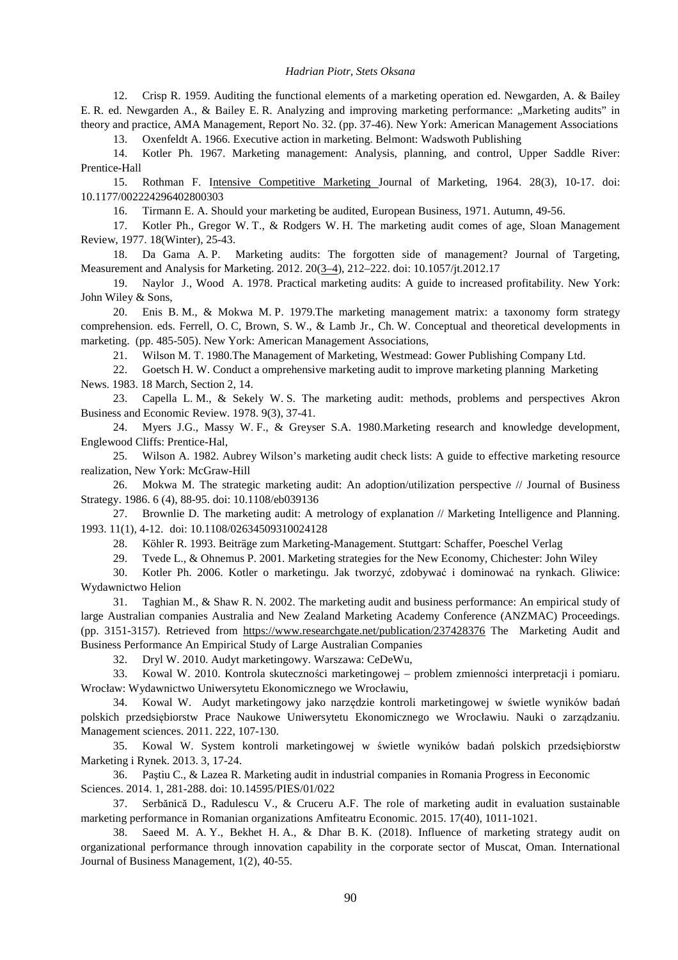12. Crisp R. 1959. Auditing the functional elements of a marketing operation ed. Newgarden, A. & Bailey E. R. ed. Newgarden A., & Bailey E. R. Analyzing and improving marketing performance: "Marketing audits" in theory and practice, AMA Management, Report No. 32. (pp. 37-46). New York: American Management Associations

13. Oxenfeldt A. 1966. Executive action in marketing. Belmont: Wadswoth Publishing

14. Kotler Ph. 1967. Marketing management: Analysis, planning, and control, Upper Saddle River: Prentice-Hall

15. Rothman F. Intensive Competitive Marketing Journal of Marketing, 1964. 28(3), 10-17. doi: 10.1177/002224296402800303

16. Tirmann E. A. Should your marketing be audited, European Business, 1971. Autumn, 49-56.

17. Kotler Ph., Gregor W. T., & Rodgers W. H. The marketing audit comes of age, Sloan Management Review, 1977. 18(Winter), 25-43.

18. Da Gama A. P. Marketing audits: The forgotten side of management? Journal of Targeting, Measurement and Analysis for Marketing. 2012. 20(3–4), 212–222. doi: 10.1057/jt.2012.17

19. Naylor J., Wood A. 1978. Practical marketing audits: A guide to increased profitability. New York: John Wiley & Sons,

20. Enis B. M., & Mokwa M. P. 1979.The marketing management matrix: a taxonomy form strategy comprehension. eds. Ferrell, O. C, Brown, S. W., & Lamb Jr., Ch. W. Conceptual and theoretical developments in marketing. (pp. 485-505). New York: American Management Associations,

21. Wilson M. T. 1980.The Management of Marketing, Westmead: Gower Publishing Company Ltd.

22. Goetsch H. W. Conduct a omprehensive marketing audit to improve marketing planning Marketing News. 1983. 18 March, Section 2, 14.

23. Capella L. M., & Sekely W. S. The marketing audit: methods, problems and perspectives Akron Business and Economic Review. 1978. 9(3), 37-41.

24. Myers J.G., Massy W. F., & Greyser S.A. 1980.Marketing research and knowledge development, Englewood Cliffs: Prentice-Hal,

25. Wilson A. 1982. Aubrey Wilson's marketing audit check lists: A guide to effective marketing resource realization, New York: McGraw-Hill

26. Mokwa M. The strategic marketing audit: An adoption/utilization perspective // Journal of Business Strategy. 1986. 6 (4), 88-95. doi: 10.1108/eb039136

27. Brownlie D. The marketing audit: A metrology of explanation // Marketing Intelligence and Planning. 1993. 11(1), 4-12. doi: 10.1108/02634509310024128

28. Köhler R. 1993. Beiträge zum Marketing-Management. Stuttgart: Schaffer, Poeschel Verlag

29. Tvede L., & Ohnemus P. 2001. Marketing strategies for the New Economy, Chichester: John Wiley

30. Kotler Ph. 2006. Kotler o marketingu. Jak tworzyć, zdobywać i dominować na rynkach. Gliwice: Wydawnictwo Helion

31. Taghian M., & Shaw R. N. 2002. The marketing audit and business performance: An empirical study of large Australian companies Australia and New Zealand Marketing Academy Conference (ANZMAC) Proceedings. (pp. 3151-3157). Retrieved from <https://www.researchgate.net/publication/237428376> The Marketing Audit and Business Performance An Empirical Study of Large Australian Companies

32. Dryl W. 2010. Audyt marketingowy. Warszawa: CeDeWu,

33. Kowal W. 2010. Kontrola skuteczności marketingowej – problem zmienności interpretacji i pomiaru. Wrocław: Wydawnictwo Uniwersytetu Ekonomicznego we Wrocławiu,

34. Kowal W. Audyt marketingowy jako narzędzie kontroli marketingowej w świetle wyników badań polskich przedsiębiorstw Prace Naukowe Uniwersytetu Ekonomicznego we Wrocławiu. Nauki o zarządzaniu. Management sciences. 2011. 222, 107-130.

35. Kowal W. System kontroli marketingowej w świetle wyników badań polskich przedsiębiorstw Marketing i Rynek. 2013. 3, 17-24.

36. Paştiu C., & Lazea R. Marketing audit in industrial companies in Romania Progress in Eeconomic Sciences. 2014. 1, 281-288. doi: 10.14595/PIES/01/022

37. Serbănică D., Radulescu V., & Cruceru A.F. The role of marketing audit in evaluation sustainable marketing performance in Romanian organizations Amfiteatru Economic. 2015. 17(40), 1011-1021.

38. Saeed M. A. Y., Bekhet H. A., & Dhar B. K. (2018). Influence of marketing strategy audit on organizational performance through innovation capability in the corporate sector of Muscat, Oman. International Journal of Business Management, 1(2), 40-55.